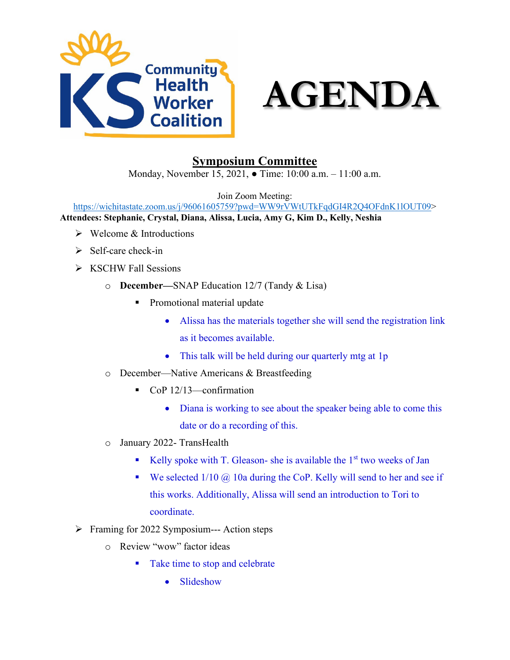



## **Symposium Committee**

Monday, November 15, 2021, ● Time: 10:00 a.m. – 11:00 a.m.

Join Zoom Meeting:

<https://wichitastate.zoom.us/j/96061605759?pwd=WW9rVWtUTkFqdGI4R2Q4OFdnK1lOUT09>> **Attendees: Stephanie, Crystal, Diana, Alissa, Lucia, Amy G, Kim D., Kelly, Neshia**

- $\triangleright$  Welcome & Introductions
- $\triangleright$  Self-care check-in
- $\triangleright$  KSCHW Fall Sessions
	- o **December—**SNAP Education 12/7 (Tandy & Lisa)
		- **Promotional material update** 
			- Alissa has the materials together she will send the registration link as it becomes available.
			- This talk will be held during our quarterly mtg at 1p
	- o December—Native Americans & Breastfeeding
		- CoP 12/13—confirmation
			- Diana is working to see about the speaker being able to come this date or do a recording of this.
	- o January 2022- TransHealth
		- Kelly spoke with T. Gleason- she is available the  $1<sup>st</sup>$  two weeks of Jan
		- We selected  $1/10 \omega$  10a during the CoP. Kelly will send to her and see if this works. Additionally, Alissa will send an introduction to Tori to coordinate.
- $\triangleright$  Framing for 2022 Symposium--- Action steps
	- o Review "wow" factor ideas
		- Take time to stop and celebrate
			- **Slideshow**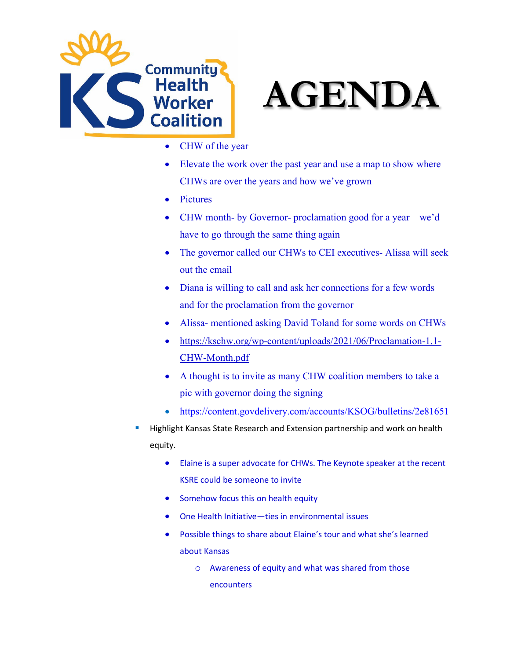



- CHW of the year
- Elevate the work over the past year and use a map to show where CHWs are over the years and how we've grown
- Pictures
- CHW month- by Governor- proclamation good for a year—we'd have to go through the same thing again
- The governor called our CHWs to CEI executives-Alissa will seek out the email
- Diana is willing to call and ask her connections for a few words and for the proclamation from the governor
- Alissa- mentioned asking David Toland for some words on CHWs
- https://kschw.org/wp-[content/uploads/2021/06/Proclamation](https://kschw.org/wp-content/uploads/2021/06/Proclamation-1.1-CHW-Month.pdf)-1.1- CHW-[Month.pdf](https://kschw.org/wp-content/uploads/2021/06/Proclamation-1.1-CHW-Month.pdf)
- A thought is to invite as many CHW coalition members to take a pic with governor doing the signing
- <https://content.govdelivery.com/accounts/KSOG/bulletins/2e81651>
- Highlight Kansas State Research and Extension partnership and work on health equity.
	- Elaine is a super advocate for CHWs. The Keynote speaker at the recent KSRE could be someone to invite
	- Somehow focus this on health equity
	- One Health Initiative—ties in environmental issues
	- Possible things to share about Elaine's tour and what she's learned about Kansas
		- o Awareness of equity and what was shared from those encounters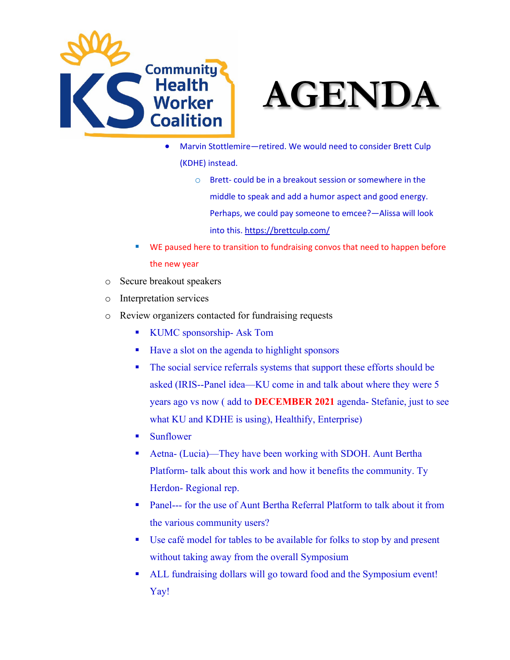



- Marvin Stottlemire—retired. We would need to consider Brett Culp (KDHE) instead.
	- o Brett- could be in a breakout session or somewhere in the middle to speak and add a humor aspect and good energy. Perhaps, we could pay someone to emcee?—Alissa will look into this. <https://brettculp.com/>
- WE paused here to transition to fundraising convos that need to happen before the new year
- o Secure breakout speakers
- o Interpretation services
- o Review organizers contacted for fundraising requests
	- **KUMC** sponsorship- Ask Tom
	- Have a slot on the agenda to highlight sponsors
	- The social service referrals systems that support these efforts should be asked (IRIS--Panel idea—KU come in and talk about where they were 5 years ago vs now ( add to **DECEMBER 2021** agenda- Stefanie, just to see what KU and KDHE is using), Healthify, Enterprise)
	- Sunflower
	- Aetna- (Lucia)—They have been working with SDOH. Aunt Bertha Platform- talk about this work and how it benefits the community. Ty Herdon- Regional rep.
	- Panel--- for the use of Aunt Bertha Referral Platform to talk about it from the various community users?
	- Use café model for tables to be available for folks to stop by and present without taking away from the overall Symposium
	- ALL fundraising dollars will go toward food and the Symposium event! Yay!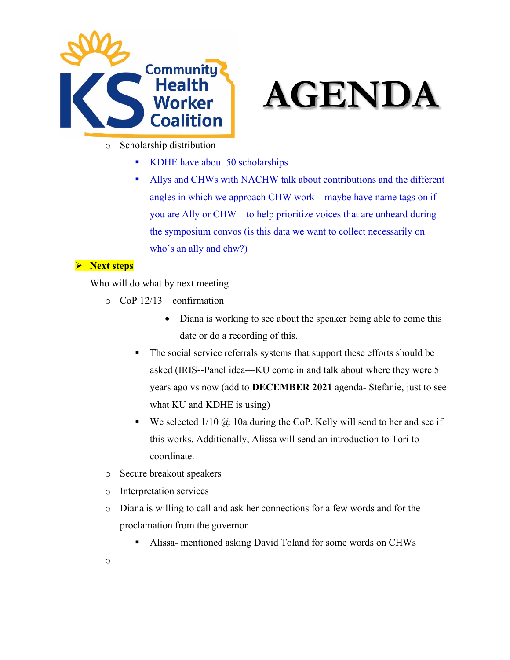



- o Scholarship distribution
	- KDHE have about 50 scholarships
	- Allys and CHWs with NACHW talk about contributions and the different angles in which we approach CHW work---maybe have name tags on if you are Ally or CHW—to help prioritize voices that are unheard during the symposium convos (is this data we want to collect necessarily on who's an ally and chw?)

## **EXT STEPS**

Who will do what by next meeting

- o CoP 12/13—confirmation
	- Diana is working to see about the speaker being able to come this date or do a recording of this.
	- The social service referrals systems that support these efforts should be asked (IRIS--Panel idea—KU come in and talk about where they were 5 years ago vs now (add to **DECEMBER 2021** agenda- Stefanie, just to see what KU and KDHE is using)
	- We selected  $1/10 \omega$  10a during the CoP. Kelly will send to her and see if this works. Additionally, Alissa will send an introduction to Tori to coordinate.
- o Secure breakout speakers
- o Interpretation services
- o Diana is willing to call and ask her connections for a few words and for the proclamation from the governor
	- Alissa- mentioned asking David Toland for some words on CHWs
- o